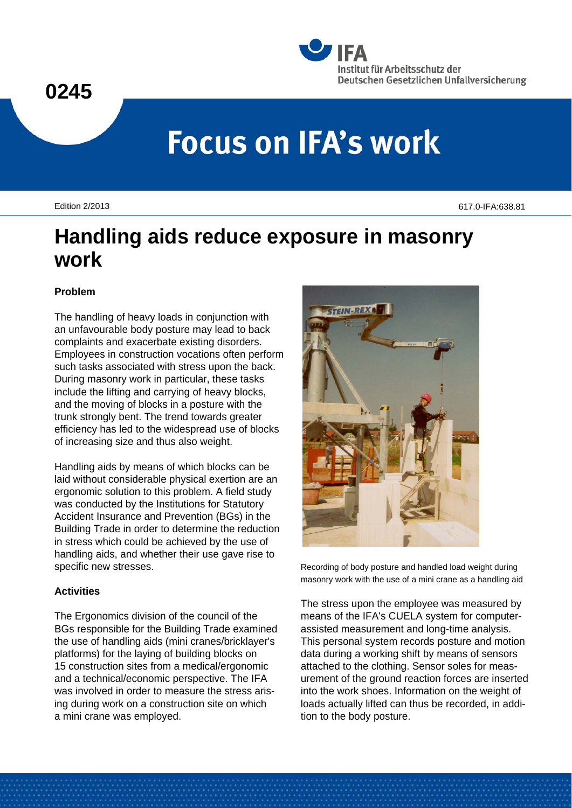## **0245**



# **Focus on IFA's work**

Edition 2/2013 617.0-IFA:638.81

# **Handling aids reduce exposure in masonry work**

### **Problem**

The handling of heavy loads in conjunction with an unfavourable body posture may lead to back complaints and exacerbate existing disorders. Employees in construction vocations often perform such tasks associated with stress upon the back. During masonry work in particular, these tasks include the lifting and carrying of heavy blocks, and the moving of blocks in a posture with the trunk strongly bent. The trend towards greater efficiency has led to the widespread use of blocks of increasing size and thus also weight.

Handling aids by means of which blocks can be laid without considerable physical exertion are an ergonomic solution to this problem. A field study was conducted by the Institutions for Statutory Accident Insurance and Prevention (BGs) in the Building Trade in order to determine the reduction in stress which could be achieved by the use of handling aids, and whether their use gave rise to specific new stresses.

#### **Activities**

The Ergonomics division of the council of the BGs responsible for the Building Trade examined the use of handling aids (mini cranes/bricklayer's platforms) for the laying of building blocks on 15 construction sites from a medical/ergonomic and a technical/economic perspective. The IFA was involved in order to measure the stress arising during work on a construction site on which a mini crane was employed.



Recording of body posture and handled load weight during masonry work with the use of a mini crane as a handling aid

The stress upon the employee was measured by means of the IFA's CUELA system for computerassisted measurement and long-time analysis. This personal system records posture and motion data during a working shift by means of sensors attached to the clothing. Sensor soles for measurement of the ground reaction forces are inserted into the work shoes. Information on the weight of loads actually lifted can thus be recorded, in addition to the body posture.